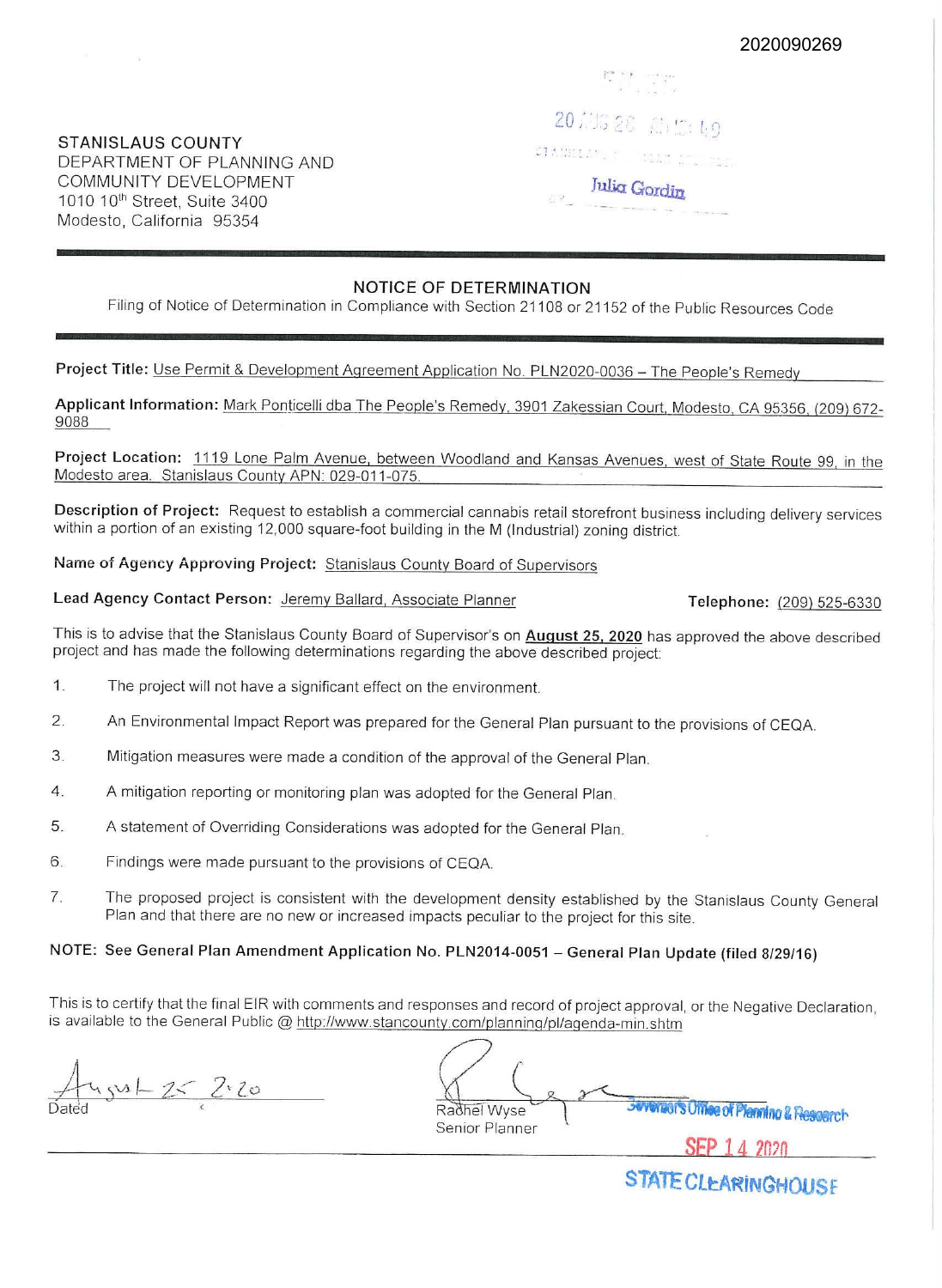2020090269

## **STANISLAUS COUNTY**  DEPARTMENT OF PLANNING AND COMMUNITY DEVELOPMENT 1010 10<sup>th</sup> Street, Suite 3400 Modesto, California 95354

 $\sim$  10  $^\circ$ 

20 息后 28 品位 49 CHANGER PROPERTY **Julia Gordin** 

# **NOTICE OF DETERMINATION**

Filing of Notice of Determination in Compliance with Section 21108 or 21152 of the Public Resources Code

Project Title: Use Permit & Development Agreement Application No. PLN2020-0036 - The People's Remedy

**Applicant Information:** Mark Ponticelli dba The People's Remedy, 3901 Zakessian Court, Modesto, CA 95356, (209) 672- 9088

**Project Location:** 1119 Lone Palm Avenue, between Woodland and Kansas Avenues, west of State Route 99, in the Modesto area. Stanislaus County APN: 029-011-075.

**Description of Project:** Request to establish a commercial cannabis retail storefront business including delivery services within a portion of an existing 12,000 square-foot building in the **M** (Industrial) zoning district.

**Name of Agency Approving Project:** Stanislaus County Board of Supervisors

Lead Agency Contact Person: Jeremy Ballard, Associate Planner **Telephone:** (209) 525-6330

This is to advise that the Stanislaus County Board of Supervisor's on **August 25, 2020** has approved the above described project and has made the following determinations regarding the above described project:

- 1. The project will not have a significant effect on the environment.
- 2. An Environmental Impact Report was prepared for the General Plan pursuant to the provisions of CEQA.
- 3. Mitigation measures were made a condition of the approval of the General Plan.
- 4. A mitigation reporting or monitoring plan was adopted for the General Plan.
- 5 A statement of Overriding Considerations was adopted for the General Plan.
- 6. Findings were made pursuant to the provisions of CEQA.
- 7. The proposed project is consistent with the development density established by the Stanislaus County General Plan and that there are no new or increased impacts peculiar to the project for this site.

# **NOTE: See General Plan Amendment Application No. PLN2014-0051 - General Plan Update (filed 8/29/16)**

This is to certify that the final EIR with comments and responses and record of project approval, or the Negative Declaration, is available to the General Public @ http://www.stancounty.com/planning/pl/agenda-min.shtm

|              | $\lambda$ |  |
|--------------|-----------|--|
| )ated<br>-F. |           |  |

Radhel Wyse **The Sevenal's Office of Pleming & Research** Senior Planner

**SEP 14** *2n,n* 

STATE CLEARINGHOUSE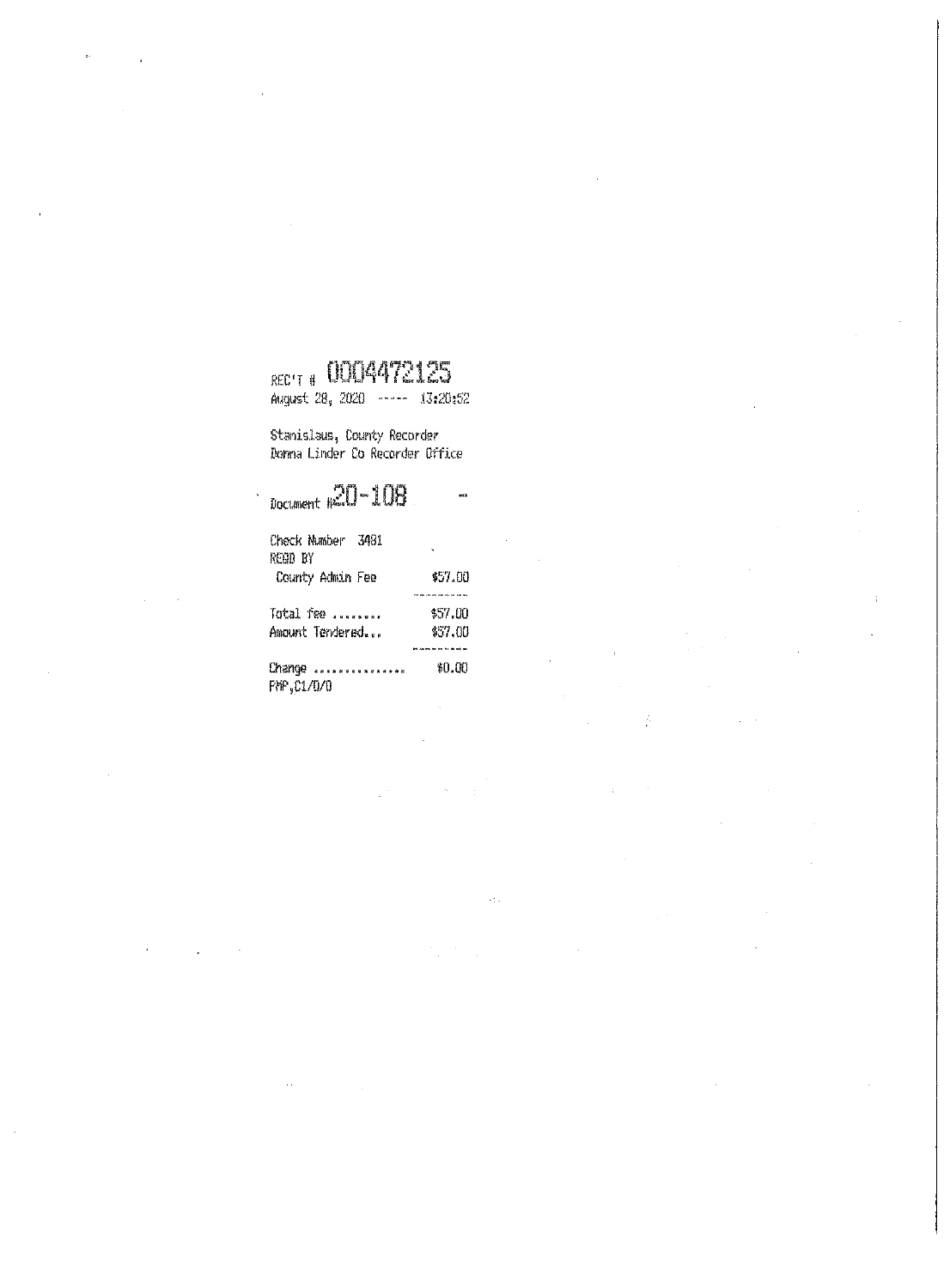# RECT # COO4472125

 $\ddot{\phantom{a}}$ 

Į.

August 28, 2020 ----- 13:20:52

Stanislaus, County Recorder<br>Donna Linder Co Recorder Office

 $\mathcal{L}_{\mathrm{L}}$ 

ķ.

Ŷ.

| $_{\text{Document}}$ $\approx 0 - 108$ |         |  |  |
|----------------------------------------|---------|--|--|
| Check Number 3481<br>REON BY           |         |  |  |
| County Admin Fee                       | \$57.00 |  |  |
|                                        |         |  |  |
| Total fee                              | \$57.OO |  |  |
| Amount Tendered                        | 457.00  |  |  |
|                                        |         |  |  |
| Change                                 | \$0.QO  |  |  |
| PMP.C1/0/0                             |         |  |  |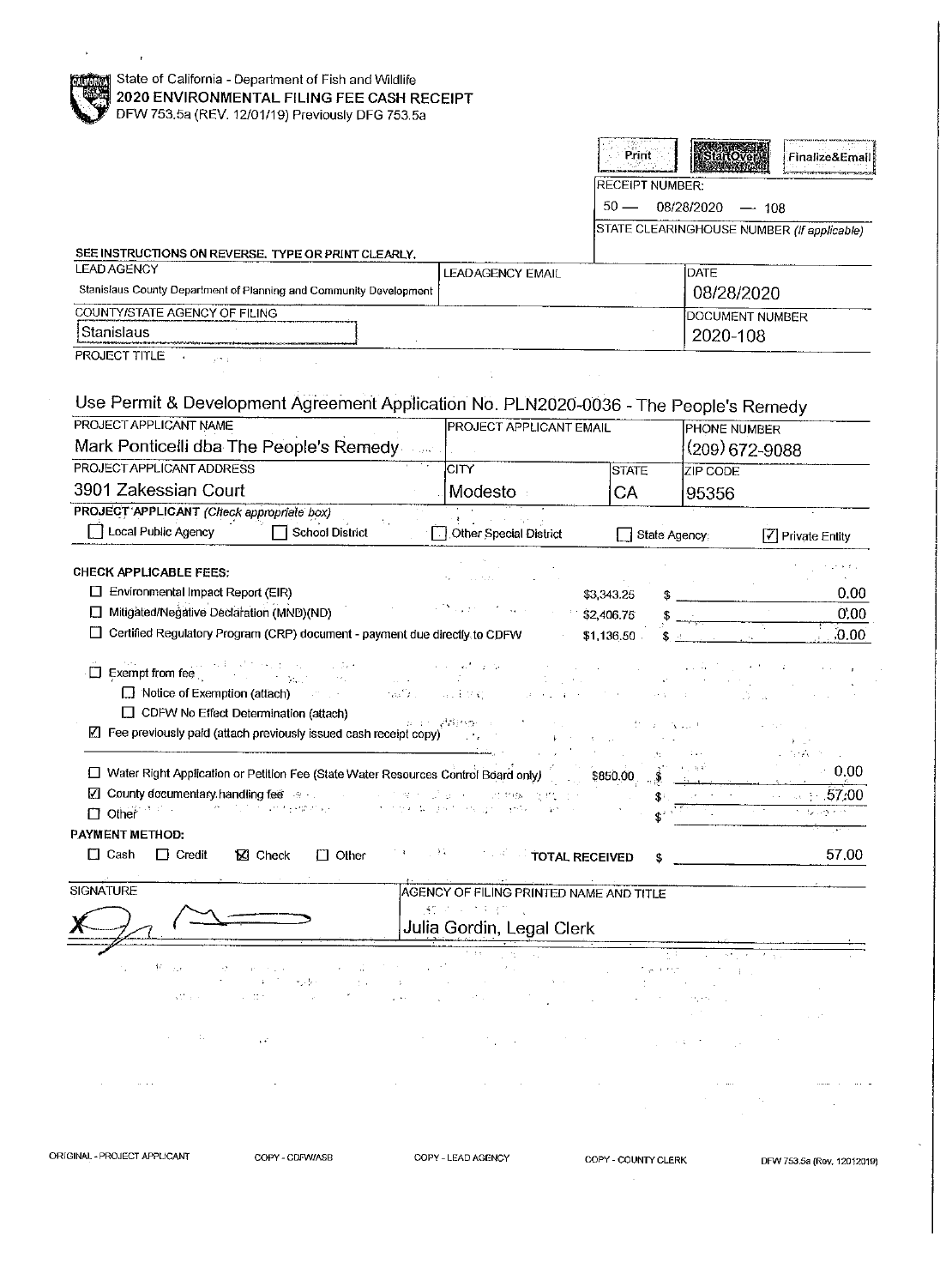| State of California - Department of Fish and Wildlife<br>2020 ENVIRONMENTAL FILING FEE CASH RECEIPT                                                                                                                                                                                                                                                                                                                          |                                      |                                                                   |                                        |                                                     |                                            |  |
|------------------------------------------------------------------------------------------------------------------------------------------------------------------------------------------------------------------------------------------------------------------------------------------------------------------------------------------------------------------------------------------------------------------------------|--------------------------------------|-------------------------------------------------------------------|----------------------------------------|-----------------------------------------------------|--------------------------------------------|--|
| DFW 753.5a (REV. 12/01/19) Previously DFG 753.5a                                                                                                                                                                                                                                                                                                                                                                             |                                      |                                                                   |                                        |                                                     |                                            |  |
|                                                                                                                                                                                                                                                                                                                                                                                                                              |                                      |                                                                   | Print                                  | startOver                                           | Finalize&Email                             |  |
|                                                                                                                                                                                                                                                                                                                                                                                                                              |                                      |                                                                   | <b>RECEIPT NUMBER:</b>                 |                                                     |                                            |  |
|                                                                                                                                                                                                                                                                                                                                                                                                                              |                                      | $50 -$<br>08/28/2020<br>$-108$                                    |                                        |                                                     |                                            |  |
|                                                                                                                                                                                                                                                                                                                                                                                                                              |                                      |                                                                   |                                        |                                                     | STATE CLEARINGHOUSE NUMBER (If applicable) |  |
| SEE INSTRUCTIONS ON REVERSE. TYPE OR PRINT CLEARLY.                                                                                                                                                                                                                                                                                                                                                                          |                                      |                                                                   |                                        |                                                     |                                            |  |
| <b>LEAD AGENCY</b><br>Stanislaus County Department of Planning and Community Development                                                                                                                                                                                                                                                                                                                                     |                                      | <b>LEADAGENCY EMAIL</b>                                           |                                        | DATE                                                |                                            |  |
| COUNTY/STATE AGENCY OF FILING                                                                                                                                                                                                                                                                                                                                                                                                |                                      | 08/28/2020                                                        |                                        |                                                     |                                            |  |
| Stanislaus                                                                                                                                                                                                                                                                                                                                                                                                                   |                                      |                                                                   |                                        |                                                     | DOCUMENT NUMBER<br>2020-108                |  |
| PROJECT TITLE                                                                                                                                                                                                                                                                                                                                                                                                                |                                      |                                                                   |                                        |                                                     |                                            |  |
| Use Permit & Development Agreement Application No. PLN2020-0036 - The People's Remedy<br>PROJECT APPLICANT NAME<br>Mark Ponticelli dba The People's Remedy<br>PROJECT APPLICANT ADDRESS<br>3901 Zakessian Court                                                                                                                                                                                                              | $\sim 1000$                          | <b>PROJECT APPLICANT EMAIL</b><br> CITY<br>Modesto :              | <b>STATE</b><br>CA                     | PHONE NUMBER<br>(209) 672-9088<br>ZIP CODE<br>95356 |                                            |  |
| PROJECT APPLICANT (Check appropriate box)                                                                                                                                                                                                                                                                                                                                                                                    |                                      |                                                                   |                                        |                                                     |                                            |  |
| Cocal Public Agency<br>□ School District                                                                                                                                                                                                                                                                                                                                                                                     |                                      | <b>CE</b> and the company<br>Other Special District               | State Agency:                          |                                                     | 7 Private Entity                           |  |
| Environmental Impact Report (EIR)<br>□ Mitigated/Negative Declaration (MND)(ND)<br>Certified Regulatory Program (CRP) document - payment due directly to CDFW<br>$\Box$ Exempt from fee<br>ti dell'in<br><b>Sales Common</b><br>$\Box$ Notice of Exemption (attach)<br><b>CONTRACTOR</b><br>□ CDFW No Effect Determination (attach)<br>$\boxed{\mathbb{Z}}$ Fee previously paid (attach previously issued cash receipt copy) | ras <sup>e</sup> xum<br>a in Villege | (日) 主任 (2)<br><b>Fig. 10 St. Car</b>                              | \$3,343.25<br>\$2,406.75<br>\$1,136.50 | $\Delta$ and $\Delta$                               | 0.00<br>0:00<br>.0.00                      |  |
| □ Water Right Application or Petition Fee (State Water Resources Control Board only)                                                                                                                                                                                                                                                                                                                                         |                                      |                                                                   |                                        |                                                     | istāvija<br>0.00                           |  |
| $\boxed{\angle}$ County documentary handling fee $\degree$<br>그 아이들은 사람에 있을 것이다.                                                                                                                                                                                                                                                                                                                                             |                                      | <b>Controller</b>                                                 | \$850.00<br>S                          |                                                     | 57.00                                      |  |
| state of the control of the segment of the<br>$\Box$ Other $\Box$                                                                                                                                                                                                                                                                                                                                                            |                                      | 人名英格兰人姓氏法埃尔的变体 医粘液性<br>$\Delta\sigma^2$ , $\sigma^2$ , $\sigma^2$ |                                        |                                                     |                                            |  |
| PAYMENT METHOD:                                                                                                                                                                                                                                                                                                                                                                                                              |                                      |                                                                   |                                        |                                                     |                                            |  |
| $\Box$ Cash<br>$\Box$ Credit<br><b>⊠</b> Check<br>$\Box$ Other                                                                                                                                                                                                                                                                                                                                                               | 下れ 一 小林                              | <b>Example 2 FOTAL RECEIVED</b>                                   |                                        |                                                     | 57,00                                      |  |
| SIGNATURE                                                                                                                                                                                                                                                                                                                                                                                                                    |                                      | AGENCY OF FILING PRINTED NAME AND TITLE                           |                                        |                                                     |                                            |  |
|                                                                                                                                                                                                                                                                                                                                                                                                                              |                                      | 的第三人称形式<br>Julia Gordin, Legal Clerk                              |                                        |                                                     |                                            |  |
| $\mathcal{V}$<br>÷.,<br>$\sim 10$<br>بالرابرة<br>AT TOP<br>$\sim 10^4$                                                                                                                                                                                                                                                                                                                                                       |                                      |                                                                   |                                        |                                                     |                                            |  |
| G.<br>$\epsilon$ $\epsilon^*$                                                                                                                                                                                                                                                                                                                                                                                                |                                      |                                                                   |                                        |                                                     |                                            |  |
|                                                                                                                                                                                                                                                                                                                                                                                                                              |                                      |                                                                   |                                        |                                                     |                                            |  |

ORIGINAL - PROJECT APPLICANT COPY - COPY - CDFW/ASB COPY - LEAD AGENCY COPY - COUNTY CLERK DFW 753.5a (Rev. 12012019)

 $\mathcal{L}$ 

l,